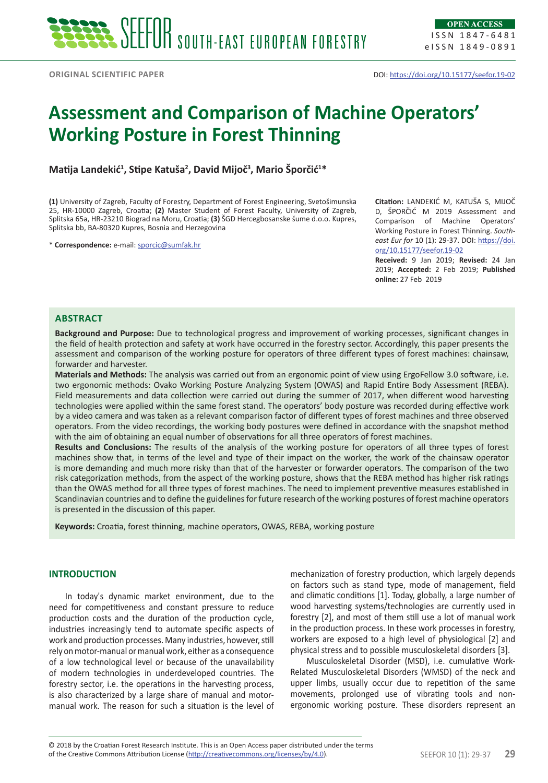# **Assessment and Comparison of Machine Operators' Working Posture in Forest Thinning**

**Matija Landekić<sup>1</sup> , Stipe Katuša<sup>2</sup> , David Mijoč<sup>3</sup> , Mario Šporčić<sup>1</sup> \*** 

**(1)** University of Zagreb, Faculty of Forestry, Department of Forest Engineering, Svetošimunska 25, HR-10000 Zagreb, Croatia; **(2)** Master Student of Forest Faculty, University of Zagreb, Splitska 65a, HR-23210 Biograd na Moru, Croatia; **(3)** ŠGD Hercegbosanske šume d.o.o. Kupres, Splitska bb, BA-80320 Kupres, Bosnia and Herzegovina

\* **Correspondence:** e-mail: [sporcic@sumfak.hr](mailto:sporcic@sumfak.hr)

**Citation:** LANDEKIĆ M, KATUŠA S, MIJOČ D, ŠPORČIĆ M 2019 Assessment and Comparison of Machine Operators' Working Posture in Forest Thinning. *Southeast Eur for* 10 (1): 29-37. DOI: [https://doi.](https://doi.org/10.15177/seefor.19-02) [org/10.15177/seefor.19-02](https://doi.org/10.15177/seefor.19-02)

**Received:** 9 Jan 2019; **Revised:** 24 Jan 2019; **Accepted:** 2 Feb 2019; **Published online:** 27 Feb 2019

## **Abstract**

**Background and Purpose:** Due to technological progress and improvement of working processes, significant changes in the field of health protection and safety at work have occurred in the forestry sector. Accordingly, this paper presents the assessment and comparison of the working posture for operators of three different types of forest machines: chainsaw, forwarder and harvester.

**Materials and Methods:** The analysis was carried out from an ergonomic point of view using ErgoFellow 3.0 software, i.e. two ergonomic methods: Ovako Working Posture Analyzing System (OWAS) and Rapid Entire Body Assessment (REBA). Field measurements and data collection were carried out during the summer of 2017, when different wood harvesting technologies were applied within the same forest stand. The operators' body posture was recorded during effective work by a video camera and was taken as a relevant comparison factor of different types of forest machines and three observed operators. From the video recordings, the working body postures were defined in accordance with the snapshot method with the aim of obtaining an equal number of observations for all three operators of forest machines.

**Results and Conclusions:** The results of the analysis of the working posture for operators of all three types of forest machines show that, in terms of the level and type of their impact on the worker, the work of the chainsaw operator is more demanding and much more risky than that of the harvester or forwarder operators. The comparison of the two risk categorization methods, from the aspect of the working posture, shows that the REBA method has higher risk ratings than the OWAS method for all three types of forest machines. The need to implement preventive measures established in Scandinavian countries and to define the guidelines for future research of the working postures of forest machine operators is presented in the discussion of this paper.

**Keywords:** Croatia, forest thinning, machine operators, OWAS, REBA, working posture

## **INTRODUCTION**

In today's dynamic market environment, due to the need for competitiveness and constant pressure to reduce production costs and the duration of the production cycle, industries increasingly tend to automate specific aspects of work and production processes. Many industries, however, still rely on motor-manual or manual work, either as a consequence of a low technological level or because of the unavailability of modern technologies in underdeveloped countries. The forestry sector, i.e. the operations in the harvesting process, is also characterized by a large share of manual and motormanual work. The reason for such a situation is the level of mechanization of forestry production, which largely depends on factors such as stand type, mode of management, field and climatic conditions [1]. Today, globally, a large number of wood harvesting systems/technologies are currently used in forestry [2], and most of them still use a lot of manual work in the production process. In these work processes in forestry, workers are exposed to a high level of physiological [2] and physical stress and to possible musculoskeletal disorders [3].

Musculoskeletal Disorder (MSD), i.e. cumulative Work-Related Musculoskeletal Disorders (WMSD) of the neck and upper limbs, usually occur due to repetition of the same movements, prolonged use of vibrating tools and nonergonomic working posture. These disorders represent an

of the Creative Commons Attribution License (<http://creativecommons.org/licenses/by/4.0>). SEEFOR 10 (1): 29-37 **29** © 2018 by the Croatian Forest Research Institute. This is an Open Access paper distributed under the terms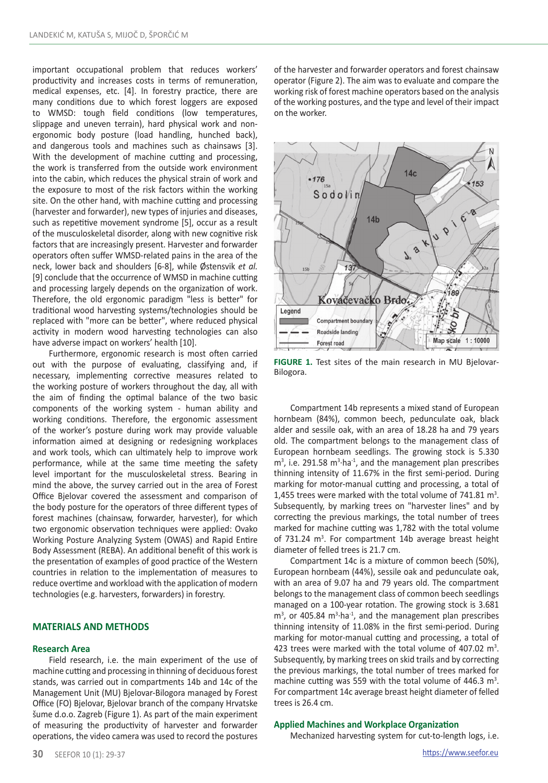important occupational problem that reduces workers' productivity and increases costs in terms of remuneration, medical expenses, etc. [4]. In forestry practice, there are many conditions due to which forest loggers are exposed to WMSD: tough field conditions (low temperatures, slippage and uneven terrain), hard physical work and nonergonomic body posture (load handling, hunched back), and dangerous tools and machines such as chainsaws [3]. With the development of machine cutting and processing, the work is transferred from the outside work environment into the cabin, which reduces the physical strain of work and the exposure to most of the risk factors within the working site. On the other hand, with machine cutting and processing (harvester and forwarder), new types of injuries and diseases, such as repetitive movement syndrome [5], occur as a result of the musculoskeletal disorder, along with new cognitive risk factors that are increasingly present. Harvester and forwarder operators often suffer WMSD-related pains in the area of the neck, lower back and shoulders [6-8], while Østensvik *et al.* [9] conclude that the occurrence of WMSD in machine cutting and processing largely depends on the organization of work. Therefore, the old ergonomic paradigm "less is better" for traditional wood harvesting systems/technologies should be replaced with "more can be better", where reduced physical activity in modern wood harvesting technologies can also have adverse impact on workers' health [10].

Furthermore, ergonomic research is most often carried out with the purpose of evaluating, classifying and, if necessary, implementing corrective measures related to the working posture of workers throughout the day, all with the aim of finding the optimal balance of the two basic components of the working system - human ability and working conditions. Therefore, the ergonomic assessment of the worker's posture during work may provide valuable information aimed at designing or redesigning workplaces and work tools, which can ultimately help to improve work performance, while at the same time meeting the safety level important for the musculoskeletal stress. Bearing in mind the above, the survey carried out in the area of Forest Office Bjelovar covered the assessment and comparison of the body posture for the operators of three different types of forest machines (chainsaw, forwarder, harvester), for which two ergonomic observation techniques were applied: Ovako Working Posture Analyzing System (OWAS) and Rapid Entire Body Assessment (REBA). An additional benefit of this work is the presentation of examples of good practice of the Western countries in relation to the implementation of measures to reduce overtime and workload with the application of modern technologies (e.g. harvesters, forwarders) in forestry.

# **MATERIALS AND METHODS**

### **Research Area**

Field research, i.e. the main experiment of the use of machine cutting and processing in thinning of deciduous forest stands, was carried out in compartments 14b and 14c of the Management Unit (MU) Bjelovar-Bilogora managed by Forest Office (FO) Bjelovar, Bjelovar branch of the company Hrvatske šume d.o.o. Zagreb (Figure 1). As part of the main experiment of measuring the productivity of harvester and forwarder operations, the video camera was used to record the postures of the harvester and forwarder operators and forest chainsaw operator (Figure 2). The aim was to evaluate and compare the working risk of forest machine operators based on the analysis of the working postures, and the type and level of their impact on the worker.



**FIGURE 1.** Test sites of the main research in MU Bjelovar-Bilogora.

Compartment 14b represents a mixed stand of European hornbeam (84%), common beech, pedunculate oak, black alder and sessile oak, with an area of 18.28 ha and 79 years old. The compartment belongs to the management class of European hornbeam seedlings. The growing stock is 5.330  $m<sup>3</sup>$ , i.e. 291.58  $m<sup>3</sup>$  ha<sup>-1</sup>, and the management plan prescribes thinning intensity of 11.67% in the first semi-period. During marking for motor-manual cutting and processing, a total of 1,455 trees were marked with the total volume of  $741.81 \text{ m}^3$ . Subsequently, by marking trees on "harvester lines" and by correcting the previous markings, the total number of trees marked for machine cutting was 1,782 with the total volume of  $731.24$  m<sup>3</sup>. For compartment 14b average breast height diameter of felled trees is 21.7 cm.

Compartment 14c is a mixture of common beech (50%), European hornbeam (44%), sessile oak and pedunculate oak, with an area of 9.07 ha and 79 years old. The compartment belongs to the management class of common beech seedlings managed on a 100-year rotation. The growing stock is 3.681  $m<sup>3</sup>$ , or 405.84  $m<sup>3</sup>$  ha<sup>-1</sup>, and the management plan prescribes thinning intensity of 11.08% in the first semi-period. During marking for motor-manual cutting and processing, a total of 423 trees were marked with the total volume of 407.02  $m^3$ . Subsequently, by marking trees on skid trails and by correcting the previous markings, the total number of trees marked for machine cutting was 559 with the total volume of 446.3  $m^3$ . For compartment 14c average breast height diameter of felled trees is 26.4 cm.

#### **Applied Machines and Workplace Organization**

Mechanized harvesting system for cut-to-length logs, i.e.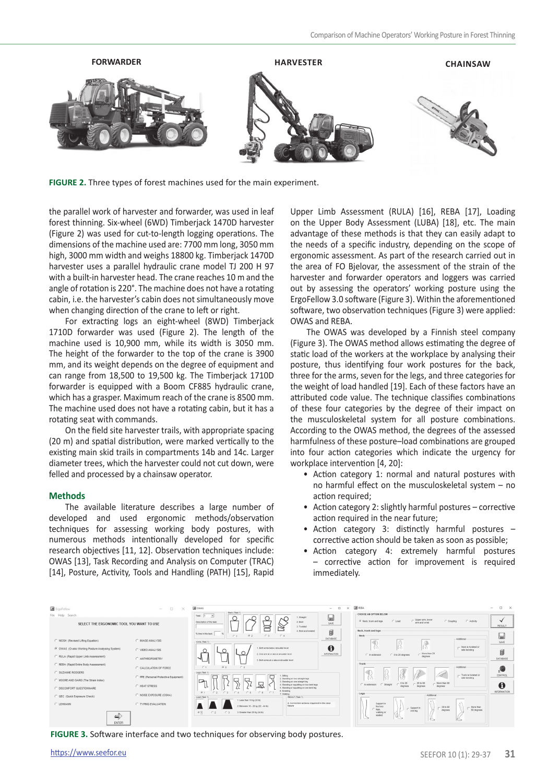

**FIGURE 2.** Three types of forest machines used for the main experiment.

the parallel work of harvester and forwarder, was used in leaf forest thinning. Six-wheel (6WD) Timberjack 1470D harvester (Figure 2) was used for cut-to-length logging operations. The dimensions of the machine used are: 7700 mm long, 3050 mm high, 3000 mm width and weighs 18800 kg. Timberjack 1470D harvester uses a parallel hydraulic crane model TJ 200 H 97 with a built-in harvester head. The crane reaches 10 m and the angle of rotation is 220°. The machine does not have a rotating cabin, i.e. the harvester's cabin does not simultaneously move when changing direction of the crane to left or right.

For extracting logs an eight-wheel (8WD) Timberjack 1710D forwarder was used (Figure 2). The length of the machine used is 10,900 mm, while its width is 3050 mm. The height of the forwarder to the top of the crane is 3900 mm, and its weight depends on the degree of equipment and can range from 18,500 to 19,500 kg. The Timberjack 1710D forwarder is equipped with a Boom CF885 hydraulic crane, which has a grasper. Maximum reach of the crane is 8500 mm. The machine used does not have a rotating cabin, but it has a rotating seat with commands.

On the field site harvester trails, with appropriate spacing (20 m) and spatial distribution, were marked vertically to the existing main skid trails in compartments 14b and 14c. Larger diameter trees, which the harvester could not cut down, were felled and processed by a chainsaw operator.

#### **Methods**

The available literature describes a large number of developed and used ergonomic methods/observation techniques for assessing working body postures, with numerous methods intentionally developed for specific research objectives [11, 12]. Observation techniques include: OWAS [13], Task Recording and Analysis on Computer (TRAC) [14], Posture, Activity, Tools and Handling (PATH) [15], Rapid

Upper Limb Assessment (RULA) [16], REBA [17], Loading on the Upper Body Assessment (LUBA) [18], etc. The main advantage of these methods is that they can easily adapt to the needs of a specific industry, depending on the scope of ergonomic assessment. As part of the research carried out in the area of FO Bjelovar, the assessment of the strain of the harvester and forwarder operators and loggers was carried out by assessing the operators' working posture using the ErgoFellow 3.0 software (Figure 3). Within the aforementioned software, two observation techniques (Figure 3) were applied: OWAS and REBA.

The OWAS was developed by a Finnish steel company (Figure 3). The OWAS method allows estimating the degree of static load of the workers at the workplace by analysing their posture, thus identifying four work postures for the back, three for the arms, seven for the legs, and three categories for the weight of load handled [19]. Each of these factors have an attributed code value. The technique classifies combinations of these four categories by the degree of their impact on the musculoskeletal system for all posture combinations. According to the OWAS method, the degrees of the assessed harmfulness of these posture–load combinations are grouped into four action categories which indicate the urgency for workplace intervention [4, 20]:

- Action category 1: normal and natural postures with no harmful effect on the musculoskeletal system – no action required:
- Action category 2: slightly harmful postures corrective action required in the near future;
- Action category 3: distinctly harmful postures corrective action should be taken as soon as possible;
- Action category 4: extremely harmful postures – corrective action for improvement is required immediately.



**FIGURE 3.** Software interface and two techniques for observing body postures.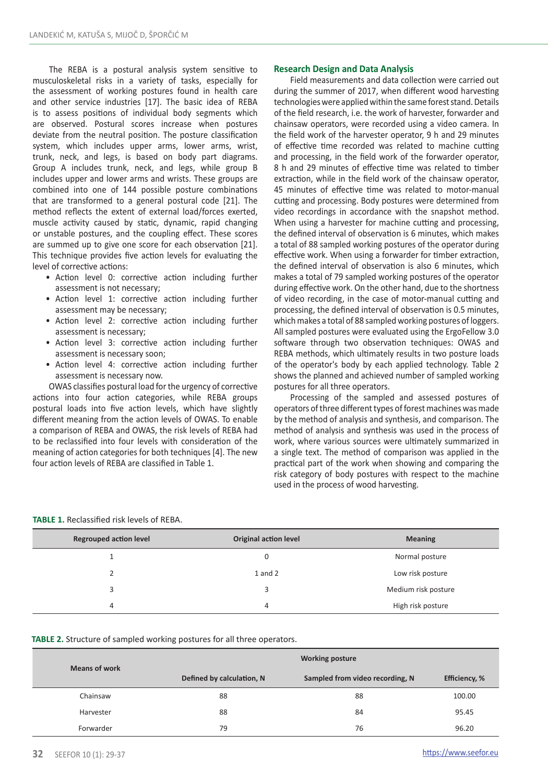The REBA is a postural analysis system sensitive to musculoskeletal risks in a variety of tasks, especially for the assessment of working postures found in health care and other service industries [17]. The basic idea of REBA is to assess positions of individual body segments which are observed. Postural scores increase when postures deviate from the neutral position. The posture classification system, which includes upper arms, lower arms, wrist, trunk, neck, and legs, is based on body part diagrams. Group A includes trunk, neck, and legs, while group B includes upper and lower arms and wrists. These groups are combined into one of 144 possible posture combinations that are transformed to a general postural code [21]. The method reflects the extent of external load/forces exerted, muscle activity caused by static, dynamic, rapid changing or unstable postures, and the coupling effect. These scores are summed up to give one score for each observation [21]. This technique provides five action levels for evaluating the level of corrective actions:

- Action level 0: corrective action including further assessment is not necessary;
- Action level 1: corrective action including further assessment may be necessary;
- Action level 2: corrective action including further assessment is necessary;
- Action level 3: corrective action including further assessment is necessary soon;
- Action level 4: corrective action including further assessment is necessary now.

OWAS classifies postural load for the urgency of corrective actions into four action categories, while REBA groups postural loads into five action levels, which have slightly different meaning from the action levels of OWAS. To enable a comparison of REBA and OWAS, the risk levels of REBA had to be reclassified into four levels with consideration of the meaning of action categories for both techniques [4]. The new four action levels of REBA are classified in Table 1.

## **Research Design and Data Analysis**

Field measurements and data collection were carried out during the summer of 2017, when different wood harvesting technologies were applied within the same forest stand. Details of the field research, i.e. the work of harvester, forwarder and chainsaw operators, were recorded using a video camera. In the field work of the harvester operator, 9 h and 29 minutes of effective time recorded was related to machine cutting and processing, in the field work of the forwarder operator, 8 h and 29 minutes of effective time was related to timber extraction, while in the field work of the chainsaw operator, 45 minutes of effective time was related to motor-manual cutting and processing. Body postures were determined from video recordings in accordance with the snapshot method. When using a harvester for machine cutting and processing, the defined interval of observation is 6 minutes, which makes a total of 88 sampled working postures of the operator during effective work. When using a forwarder for timber extraction, the defined interval of observation is also 6 minutes, which makes a total of 79 sampled working postures of the operator during effective work. On the other hand, due to the shortness of video recording, in the case of motor-manual cutting and processing, the defined interval of observation is 0.5 minutes, which makes a total of 88 sampled working postures of loggers. All sampled postures were evaluated using the ErgoFellow 3.0 software through two observation techniques: OWAS and REBA methods, which ultimately results in two posture loads of the operator's body by each applied technology. Table 2 shows the planned and achieved number of sampled working postures for all three operators.

Processing of the sampled and assessed postures of operators of three different types of forest machines was made by the method of analysis and synthesis, and comparison. The method of analysis and synthesis was used in the process of work, where various sources were ultimately summarized in a single text. The method of comparison was applied in the practical part of the work when showing and comparing the risk category of body postures with respect to the machine used in the process of wood harvesting.

| <b>Regrouped action level</b> | <b>Original action level</b> | <b>Meaning</b>      |  |
|-------------------------------|------------------------------|---------------------|--|
|                               | 0                            | Normal posture      |  |
|                               | $1$ and $2$                  | Low risk posture    |  |
| 3                             | 3                            | Medium risk posture |  |
| 4                             | 4                            | High risk posture   |  |

**TABLE 2.** Structure of sampled working postures for all three operators.

| <b>Means of work</b> | <b>Working posture</b>    |                                 |               |  |
|----------------------|---------------------------|---------------------------------|---------------|--|
|                      | Defined by calculation, N | Sampled from video recording, N | Efficiency, % |  |
| Chainsaw             | 88                        | 88                              | 100.00        |  |
| Harvester            | 88                        | 84                              | 95.45         |  |
| Forwarder            | 79                        | 76                              | 96.20         |  |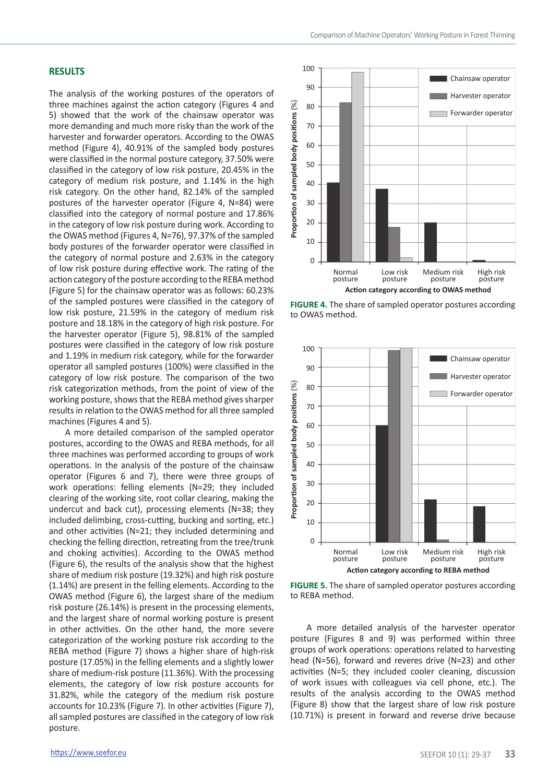# **RESULTS**

The analysis of the working postures of the operators of three machines against the action category (Figures 4 and 5) showed that the work of the chainsaw operator was more demanding and much more risky than the work of the harvester and forwarder operators. According to the OWAS method (Figure 4), 40.91% of the sampled body postures were classified in the normal posture category, 37.50% were classified in the category of low risk posture, 20.45% in the category of medium risk posture, and 1.14% in the high risk category. On the other hand, 82.14% of the sampled postures of the harvester operator (Figure 4, N=84) were classified into the category of normal posture and 17.86% in the category of low risk posture during work. According to the OWAS method (Figures 4, N=76), 97.37% of the sampled body postures of the forwarder operator were classified in the category of normal posture and 2.63% in the category of low risk posture during effective work. The rating of the action category of the posture according to the REBA method (Figure 5) for the chainsaw operator was as follows: 60.23% of the sampled postures were classified in the category of low risk posture, 21.59% in the category of medium risk posture and 18.18% in the category of high risk posture. For the harvester operator (Figure 5), 98.81% of the sampled postures were classified in the category of low risk posture and 1.19% in medium risk category, while for the forwarder operator all sampled postures (100%) were classified in the category of low risk posture. The comparison of the two risk categorization methods, from the point of view of the working posture, shows that the REBA method gives sharper results in relation to the OWAS method for all three sampled machines (Figures 4 and 5).

A more detailed comparison of the sampled operator postures, according to the OWAS and REBA methods, for all three machines was performed according to groups of work operations. In the analysis of the posture of the chainsaw operator (Figures 6 and 7), there were three groups of work operations: felling elements (N=29; they included clearing of the working site, root collar clearing, making the undercut and back cut), processing elements (N=38; they included delimbing, cross-cutting, bucking and sorting, etc.) and other activities (N=21; they included determining and checking the felling direction, retreating from the tree/trunk and choking activities). According to the OWAS method (Figure 6), the results of the analysis show that the highest share of medium risk posture (19.32%) and high risk posture (1.14%) are present in the felling elements. According to the OWAS method (Figure 6), the largest share of the medium risk posture (26.14%) is present in the processing elements, and the largest share of normal working posture is present in other activities. On the other hand, the more severe categorization of the working posture risk according to the REBA method (Figure 7) shows a higher share of high-risk posture (17.05%) in the felling elements and a slightly lower share of medium-risk posture (11.36%). With the processing elements, the category of low risk posture accounts for 31.82%, while the category of the medium risk posture accounts for 10.23% (Figure 7). In other activities (Figure 7), all sampled postures are classified in the category of low risk posture.



**FIGURE 4.** The share of sampled operator postures according to OWAS method.



**FIGURE 5.** The share of sampled operator postures according to REBA method.

A more detailed analysis of the harvester operator posture (Figures 8 and 9) was performed within three groups of work operations: operations related to harvesting head (N=56), forward and reveres drive (N=23) and other activities (N=5; they included cooler cleaning, discussion of work issues with colleagues via cell phone, etc.). The results of the analysis according to the OWAS method (Figure 8) show that the largest share of low risk posture (10.71%) is present in forward and reverse drive because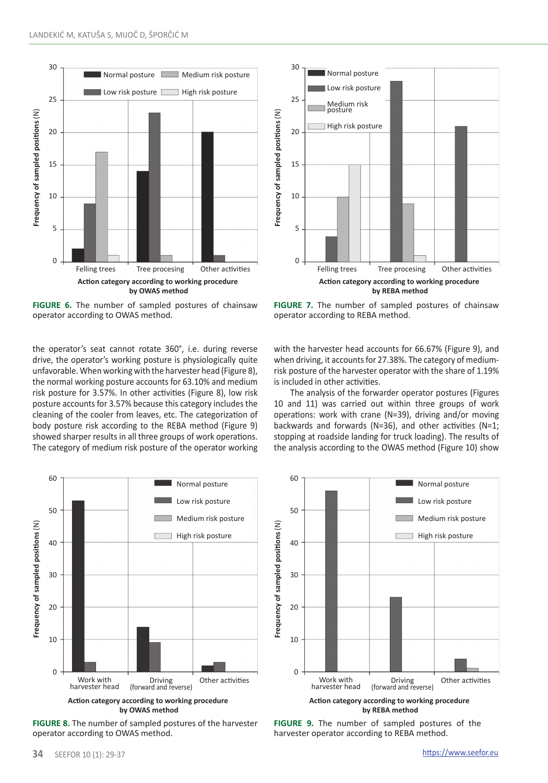

**FIGURE 6.** The number of sampled postures of chainsaw operator according to OWAS method.

the operator's seat cannot rotate 360°, i.e. during reverse drive, the operator's working posture is physiologically quite unfavorable. When working with the harvester head (Figure 8), the normal working posture accounts for 63.10% and medium risk posture for 3.57%. In other activities (Figure 8), low risk posture accounts for 3.57% because this category includes the cleaning of the cooler from leaves, etc. The categorization of body posture risk according to the REBA method (Figure 9) showed sharper results in all three groups of work operations. The category of medium risk posture of the operator working



**FIGURE 8.** The number of sampled postures of the harvester operator according to OWAS method.



**FIGURE 7.** The number of sampled postures of chainsaw operator according to REBA method.

with the harvester head accounts for 66.67% (Figure 9), and when driving, it accounts for 27.38%. The category of mediumrisk posture of the harvester operator with the share of 1.19% is included in other activities.

The analysis of the forwarder operator postures (Figures 10 and 11) was carried out within three groups of work operations: work with crane (N=39), driving and/or moving backwards and forwards (N=36), and other activities (N=1; stopping at roadside landing for truck loading). The results of the analysis according to the OWAS method (Figure 10) show



**FIGURE 9.** The number of sampled postures of the harvester operator according to REBA method.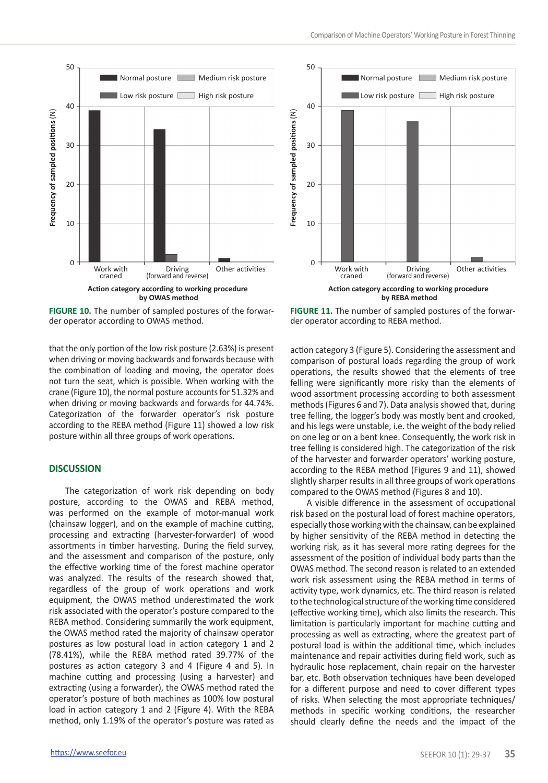





**FIGURE 10.** The number of sampled postures of the forwarder operator according to OWAS method.

that the only portion of the low risk posture (2.63%) is present when driving or moving backwards and forwards because with the combination of loading and moving, the operator does not turn the seat, which is possible. When working with the crane (Figure 10), the normal posture accounts for 51.32% and when driving or moving backwards and forwards for 44.74%. Categorization of the forwarder operator's risk posture according to the REBA method (Figure 11) showed a low risk posture within all three groups of work operations.

# **DISCUSSION**

The categorization of work risk depending on body posture, according to the OWAS and REBA method, was performed on the example of motor-manual work (chainsaw logger), and on the example of machine cutting, processing and extracting (harvester-forwarder) of wood assortments in timber harvesting. During the field survey, and the assessment and comparison of the posture, only the effective working time of the forest machine operator was analyzed. The results of the research showed that, regardless of the group of work operations and work equipment, the OWAS method underestimated the work risk associated with the operator's posture compared to the REBA method. Considering summarily the work equipment, the OWAS method rated the majority of chainsaw operator postures as low postural load in action category 1 and 2 (78.41%), while the REBA method rated 39.77% of the postures as action category 3 and 4 (Figure 4 and 5). In machine cutting and processing (using a harvester) and extracting (using a forwarder), the OWAS method rated the operator's posture of both machines as 100% low postural load in action category 1 and 2 (Figure 4). With the REBA method, only 1.19% of the operator's posture was rated as

**FIGURE 11.** The number of sampled postures of the forwarder operator according to REBA method.

action category 3 (Figure 5). Considering the assessment and comparison of postural loads regarding the group of work operations, the results showed that the elements of tree felling were significantly more risky than the elements of wood assortment processing according to both assessment methods (Figures 6 and 7). Data analysis showed that, during tree felling, the logger's body was mostly bent and crooked, and his legs were unstable, i.e. the weight of the body relied on one leg or on a bent knee. Consequently, the work risk in tree felling is considered high. The categorization of the risk of the harvester and forwarder operators' working posture, according to the REBA method (Figures 9 and 11), showed slightly sharper results in all three groups of work operations compared to the OWAS method (Figures 8 and 10).

A visible difference in the assessment of occupational risk based on the postural load of forest machine operators, especially those working with the chainsaw, can be explained by higher sensitivity of the REBA method in detecting the working risk, as it has several more rating degrees for the assessment of the position of individual body parts than the OWAS method. The second reason is related to an extended work risk assessment using the REBA method in terms of activity type, work dynamics, etc. The third reason is related to the technological structure of the working time considered (effective working time), which also limits the research. This limitation is particularly important for machine cutting and processing as well as extracting, where the greatest part of postural load is within the additional time, which includes maintenance and repair activities during field work, such as hydraulic hose replacement, chain repair on the harvester bar, etc. Both observation techniques have been developed for a different purpose and need to cover different types of risks. When selecting the most appropriate techniques/ methods in specific working conditions, the researcher should clearly define the needs and the impact of the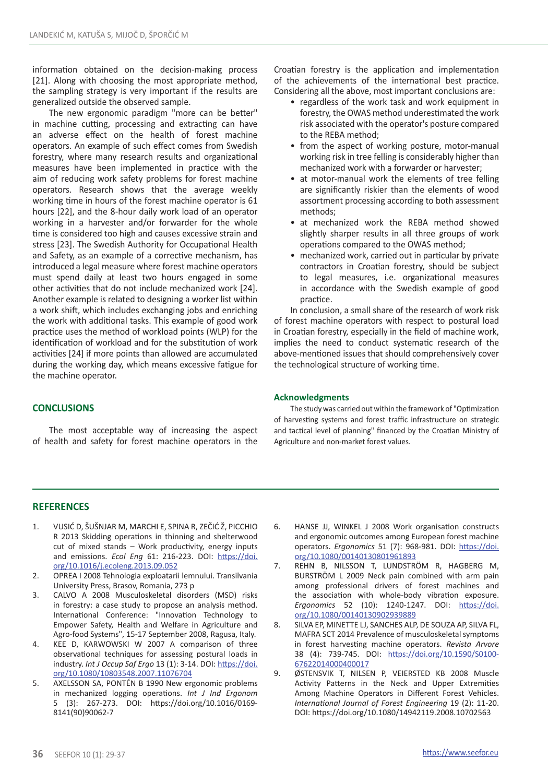information obtained on the decision-making process [21]. Along with choosing the most appropriate method, the sampling strategy is very important if the results are generalized outside the observed sample.

The new ergonomic paradigm "more can be better" in machine cutting, processing and extracting can have an adverse effect on the health of forest machine operators. An example of such effect comes from Swedish forestry, where many research results and organizational measures have been implemented in practice with the aim of reducing work safety problems for forest machine operators. Research shows that the average weekly working time in hours of the forest machine operator is 61 hours [22], and the 8-hour daily work load of an operator working in a harvester and/or forwarder for the whole time is considered too high and causes excessive strain and stress [23]. The Swedish Authority for Occupational Health and Safety, as an example of a corrective mechanism, has introduced a legal measure where forest machine operators must spend daily at least two hours engaged in some other activities that do not include mechanized work [24]. Another example is related to designing a worker list within a work shift, which includes exchanging jobs and enriching the work with additional tasks. This example of good work practice uses the method of workload points (WLP) for the identification of workload and for the substitution of work activities [24] if more points than allowed are accumulated during the working day, which means excessive fatigue for the machine operator.

Croatian forestry is the application and implementation of the achievements of the international best practice. Considering all the above, most important conclusions are:

- regardless of the work task and work equipment in forestry, the OWAS method underestimated the work risk associated with the operator's posture compared to the REBA method;
- from the aspect of working posture, motor-manual working risk in tree felling is considerably higher than mechanized work with a forwarder or harvester;
- at motor-manual work the elements of tree felling are significantly riskier than the elements of wood assortment processing according to both assessment methods;
- at mechanized work the REBA method showed slightly sharper results in all three groups of work operations compared to the OWAS method;
- mechanized work, carried out in particular by private contractors in Croatian forestry, should be subject to legal measures, i.e. organizational measures in accordance with the Swedish example of good practice.

In conclusion, a small share of the research of work risk of forest machine operators with respect to postural load in Croatian forestry, especially in the field of machine work, implies the need to conduct systematic research of the above-mentioned issues that should comprehensively cover the technological structure of working time.

# **CONCLUSIONS**

The most acceptable way of increasing the aspect of health and safety for forest machine operators in the

#### **Acknowledgments**

The study was carried out within the framework of "Optimization of harvesting systems and forest traffic infrastructure on strategic and tactical level of planning" financed by the Croatian Ministry of Agriculture and non-market forest values.

# **REFERENCES**

- 1. VUSIĆ D, ŠUŠNJAR M, MARCHI E, SPINA R, ZEČIĆ Ž, PICCHIO R 2013 Skidding operations in thinning and shelterwood cut of mixed stands – Work productivity, energy inputs and emissions. *Ecol Eng* 61: 216-223. DOI: [https://doi.](https://doi.org/10.1016/j.ecoleng.2013.09.052) [org/10.1016/j.ecoleng.2013.09.052](https://doi.org/10.1016/j.ecoleng.2013.09.052)
- 2. OPREA I 2008 Tehnologia exploatarii lemnului. Transilvania University Press, Brasov, Romania, 273 p
- 3. CALVO A 2008 Musculoskeletal disorders (MSD) risks in forestry: a case study to propose an analysis method. International Conference: "Innovation Technology to Empower Safety, Health and Welfare in Agriculture and Agro-food Systems", 15-17 September 2008, Ragusa, Italy.
- 4. KEE D, KARWOWSKI W 2007 A comparison of three observational techniques for assessing postural loads in industry. *Int J Occup Saf Ergo* 13 (1): 3-14. DOI: [https://doi.](https://doi.org/10.1080/10803548.2007.11076704) [org/10.1080/10803548.2007.11076704](https://doi.org/10.1080/10803548.2007.11076704)
- 5. AXELSSON SA, PONTÉN B 1990 New ergonomic problems in mechanized logging operations. *Int J Ind Ergonom* 5 (3): 267-273. DOI: https://doi.org/10.1016/0169- 8141(90)90062-7
- 6. HANSE JJ, WINKEL J 2008 Work organisation constructs and ergonomic outcomes among European forest machine operators. *Ergonomics* 51 (7): 968-981. DOI: [https://doi.](https://doi.org/10.1080/00140130801961893) [org/10.1080/00140130801961893](https://doi.org/10.1080/00140130801961893)
- 7. REHN B, NILSSON T, LUNDSTRÖM R, HAGBERG M, BURSTRÖM L 2009 Neck pain combined with arm pain among professional drivers of forest machines and the association with whole-body vibration exposure. *Ergonomics* 52 (10): 1240-1247. DOI: [https://doi.](https://doi.org/10.1080/00140130902939889) [org/10.1080/00140130902939889](https://doi.org/10.1080/00140130902939889)
- 8. SILVA EP, MINETTE LJ, SANCHES ALP, DE SOUZA AP, SILVA FL, MAFRA SCT 2014 Prevalence of musculoskeletal symptoms in forest harvesting machine operators. *Revista Arvore* 38 (4): 739-745. DOI: [https://doi.org/10.1590/S0100-](https://doi.org/10.1590/S0100-67622014000400017) [67622014000400017](https://doi.org/10.1590/S0100-67622014000400017)
- 9. ØSTENSVIK T, NILSEN P, VEIERSTED KB 2008 Muscle Activity Patterns in the Neck and Upper Extremities Among Machine Operators in Different Forest Vehicles. *International Journal of Forest Engineering* 19 (2): 11-20. DOI: https://doi.org/10.1080/14942119.2008.10702563